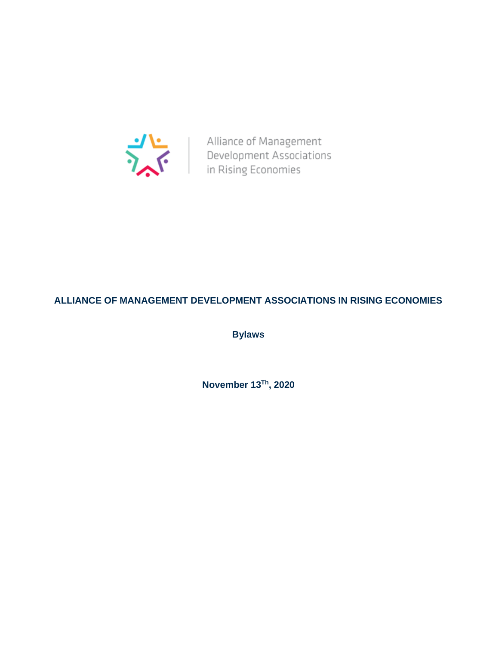

Alliance of Management<br>Development Associations<br>in Rising Economies

# **ALLIANCE OF MANAGEMENT DEVELOPMENT ASSOCIATIONS IN RISING ECONOMIES**

**Bylaws**

**November 13Th , 2020**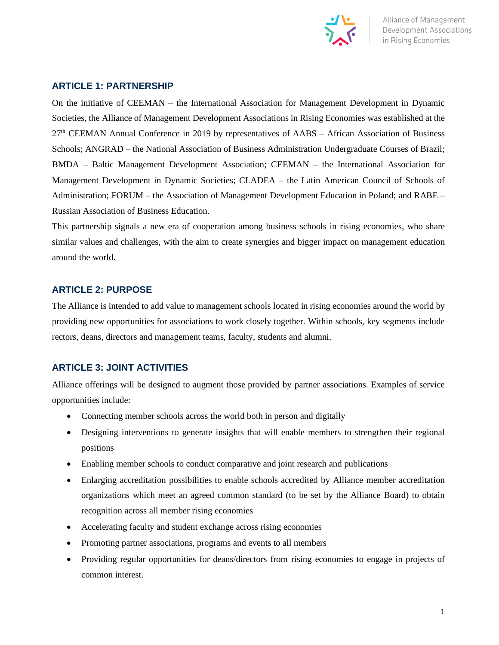

## **ARTICLE 1: PARTNERSHIP**

On the initiative of CEEMAN – the International Association for Management Development in Dynamic Societies, the Alliance of Management Development Associations in Rising Economies was established at the 27<sup>th</sup> CEEMAN Annual Conference in 2019 by representatives of AABS – African Association of Business Schools; ANGRAD – the National Association of Business Administration Undergraduate Courses of Brazil; BMDA – Baltic Management Development Association; CEEMAN – the International Association for Management Development in Dynamic Societies; CLADEA – the Latin American Council of Schools of Administration; FORUM – the Association of Management Development Education in Poland; and RABE – Russian Association of Business Education.

This partnership signals a new era of cooperation among business schools in rising economies, who share similar values and challenges, with the aim to create synergies and bigger impact on management education around the world.

## **ARTICLE 2: PURPOSE**

The Alliance is intended to add value to management schools located in rising economies around the world by providing new opportunities for associations to work closely together. Within schools, key segments include rectors, deans, directors and management teams, faculty, students and alumni.

# **ARTICLE 3: JOINT ACTIVITIES**

Alliance offerings will be designed to augment those provided by partner associations. Examples of service opportunities include:

- Connecting member schools across the world both in person and digitally
- Designing interventions to generate insights that will enable members to strengthen their regional positions
- Enabling member schools to conduct comparative and joint research and publications
- Enlarging accreditation possibilities to enable schools accredited by Alliance member accreditation organizations which meet an agreed common standard (to be set by the Alliance Board) to obtain recognition across all member rising economies
- Accelerating faculty and student exchange across rising economies
- Promoting partner associations, programs and events to all members
- Providing regular opportunities for deans/directors from rising economies to engage in projects of common interest.